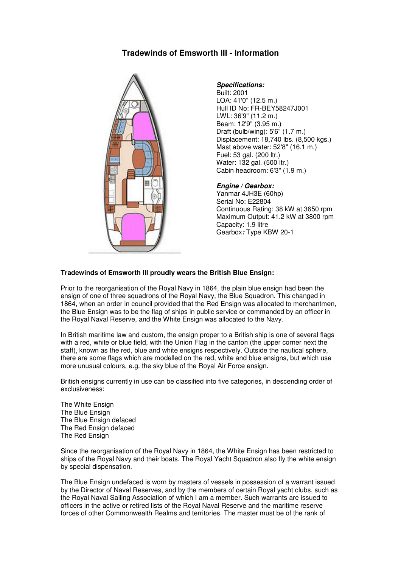# **Tradewinds of Emsworth III - Information**



#### **Specifications:**

Built: 2001 LOA: 41'0" (12.5 m.) Hull ID No: FR-BEY58247J001 LWL: 36'9" (11.2 m.) Beam: 12'9" (3.95 m.) Draft (bulb/wing): 5'6" (1.7 m.) Displacement: 18,740 lbs. (8,500 kgs.) Mast above water: 52'8" (16.1 m.) Fuel: 53 gal. (200 ltr.) Water: 132 gal. (500 ltr.) Cabin headroom: 6'3" (1.9 m.)

### **Engine / Gearbox:**

Yanmar 4JH3E (60hp) Serial No: E22804 Continuous Rating: 38 kW at 3650 rpm Maximum Output: 41.2 kW at 3800 rpm Capacity: 1.9 litre Gearbox**:** Type KBW 20-1

## **Tradewinds of Emsworth III proudly wears the British Blue Ensign:**

Prior to the reorganisation of the Royal Navy in 1864, the plain blue ensign had been the ensign of one of three squadrons of the Royal Navy, the Blue Squadron. This changed in 1864, when an order in council provided that the Red Ensign was allocated to merchantmen, the Blue Ensign was to be the flag of ships in public service or commanded by an officer in the Royal Naval Reserve, and the White Ensign was allocated to the Navy.

In British maritime law and custom, the ensign proper to a British ship is one of several flags with a red, white or blue field, with the Union Flag in the canton (the upper corner next the staff), known as the red, blue and white ensigns respectively. Outside the nautical sphere, there are some flags which are modelled on the red, white and blue ensigns, but which use more unusual colours, e.g. the sky blue of the Royal Air Force ensign.

British ensigns currently in use can be classified into five categories, in descending order of exclusiveness:

The White Ensign The Blue Ensign The Blue Ensign defaced The Red Ensign defaced The Red Ensign

Since the reorganisation of the Royal Navy in 1864, the White Ensign has been restricted to ships of the Royal Navy and their boats. The Royal Yacht Squadron also fly the white ensign by special dispensation.

The Blue Ensign undefaced is worn by masters of vessels in possession of a warrant issued by the Director of Naval Reserves, and by the members of certain Royal yacht clubs, such as the Royal Naval Sailing Association of which I am a member. Such warrants are issued to officers in the active or retired lists of the Royal Naval Reserve and the maritime reserve forces of other Commonwealth Realms and territories. The master must be of the rank of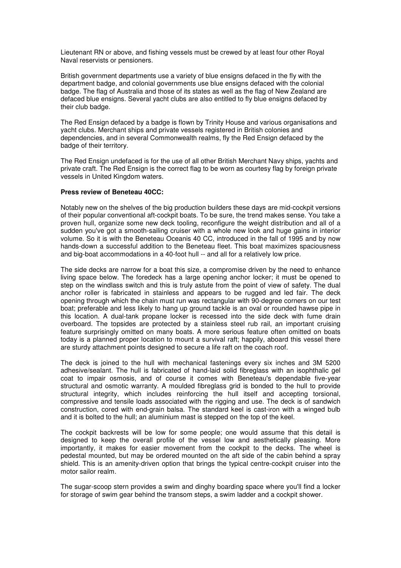Lieutenant RN or above, and fishing vessels must be crewed by at least four other Royal Naval reservists or pensioners.

British government departments use a variety of blue ensigns defaced in the fly with the department badge, and colonial governments use blue ensigns defaced with the colonial badge. The flag of Australia and those of its states as well as the flag of New Zealand are defaced blue ensigns. Several yacht clubs are also entitled to fly blue ensigns defaced by their club badge.

The Red Ensign defaced by a badge is flown by Trinity House and various organisations and yacht clubs. Merchant ships and private vessels registered in British colonies and dependencies, and in several Commonwealth realms, fly the Red Ensign defaced by the badge of their territory.

The Red Ensign undefaced is for the use of all other British Merchant Navy ships, yachts and private craft. The Red Ensign is the correct flag to be worn as courtesy flag by foreign private vessels in United Kingdom waters.

#### **Press review of Beneteau 40CC:**

Notably new on the shelves of the big production builders these days are mid-cockpit versions of their popular conventional aft-cockpit boats. To be sure, the trend makes sense. You take a proven hull, organize some new deck tooling, reconfigure the weight distribution and all of a sudden you've got a smooth-sailing cruiser with a whole new look and huge gains in interior volume. So it is with the Beneteau Oceanis 40 CC, introduced in the fall of 1995 and by now hands-down a successful addition to the Beneteau fleet. This boat maximizes spaciousness and big-boat accommodations in a 40-foot hull -- and all for a relatively low price.

The side decks are narrow for a boat this size, a compromise driven by the need to enhance living space below. The foredeck has a large opening anchor locker; it must be opened to step on the windlass switch and this is truly astute from the point of view of safety. The dual anchor roller is fabricated in stainless and appears to be rugged and led fair. The deck opening through which the chain must run was rectangular with 90-degree corners on our test boat; preferable and less likely to hang up ground tackle is an oval or rounded hawse pipe in this location. A dual-tank propane locker is recessed into the side deck with fume drain overboard. The topsides are protected by a stainless steel rub rail, an important cruising feature surprisingly omitted on many boats. A more serious feature often omitted on boats today is a planned proper location to mount a survival raft; happily, aboard this vessel there are sturdy attachment points designed to secure a life raft on the coach roof.

The deck is joined to the hull with mechanical fastenings every six inches and 3M 5200 adhesive/sealant. The hull is fabricated of hand-laid solid fibreglass with an isophthalic gel coat to impair osmosis, and of course it comes with Beneteau's dependable five-year structural and osmotic warranty. A moulded fibreglass grid is bonded to the hull to provide structural integrity, which includes reinforcing the hull itself and accepting torsional, compressive and tensile loads associated with the rigging and use. The deck is of sandwich construction, cored with end-grain balsa. The standard keel is cast-iron with a winged bulb and it is bolted to the hull; an aluminium mast is stepped on the top of the keel.

The cockpit backrests will be low for some people; one would assume that this detail is designed to keep the overall profile of the vessel low and aesthetically pleasing. More importantly, it makes for easier movement from the cockpit to the decks. The wheel is pedestal mounted, but may be ordered mounted on the aft side of the cabin behind a spray shield. This is an amenity-driven option that brings the typical centre-cockpit cruiser into the motor sailor realm.

The sugar-scoop stern provides a swim and dinghy boarding space where you'll find a locker for storage of swim gear behind the transom steps, a swim ladder and a cockpit shower.